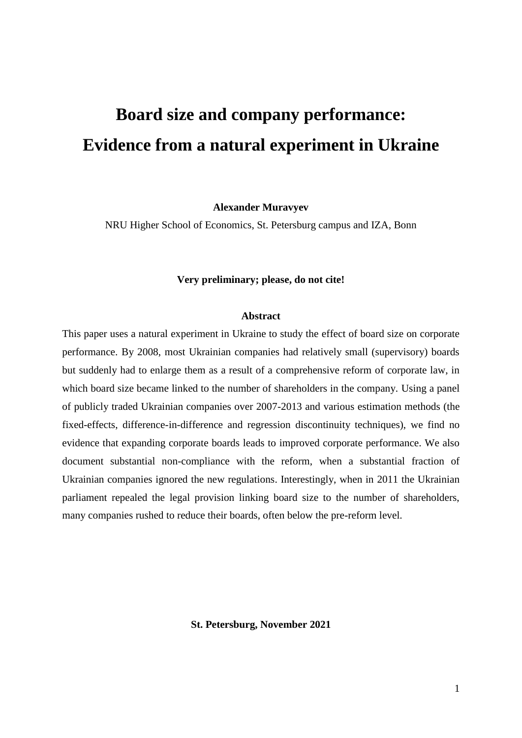# **Board size and company performance: Evidence from a natural experiment in Ukraine**

**Alexander Muravyev**

NRU Higher School of Economics, St. Petersburg campus and IZA, Bonn

### **Very preliminary; please, do not cite!**

#### **Abstract**

This paper uses a natural experiment in Ukraine to study the effect of board size on corporate performance. By 2008, most Ukrainian companies had relatively small (supervisory) boards but suddenly had to enlarge them as a result of a comprehensive reform of corporate law, in which board size became linked to the number of shareholders in the company. Using a panel of publicly traded Ukrainian companies over 2007-2013 and various estimation methods (the fixed-effects, difference-in-difference and regression discontinuity techniques), we find no evidence that expanding corporate boards leads to improved corporate performance. We also document substantial non-compliance with the reform, when a substantial fraction of Ukrainian companies ignored the new regulations. Interestingly, when in 2011 the Ukrainian parliament repealed the legal provision linking board size to the number of shareholders, many companies rushed to reduce their boards, often below the pre-reform level.

**St. Petersburg, November 2021**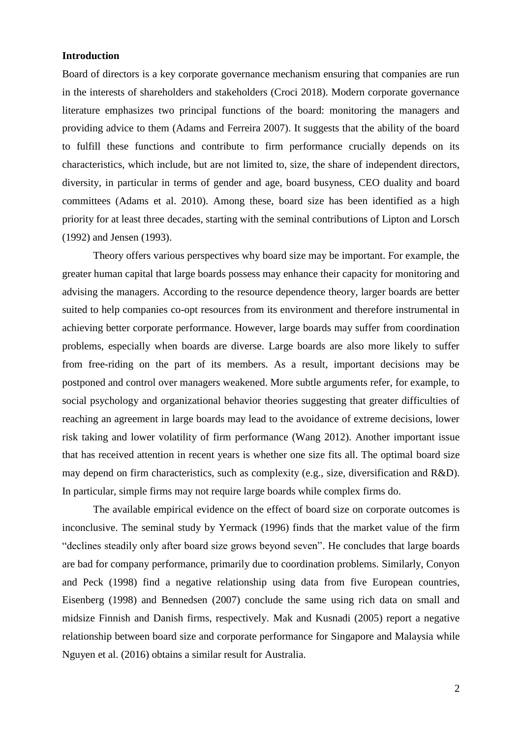# **Introduction**

Board of directors is a key corporate governance mechanism ensuring that companies are run in the interests of shareholders and stakeholders (Croci 2018). Modern corporate governance literature emphasizes two principal functions of the board: monitoring the managers and providing advice to them (Adams and Ferreira 2007). It suggests that the ability of the board to fulfill these functions and contribute to firm performance crucially depends on its characteristics, which include, but are not limited to, size, the share of independent directors, diversity, in particular in terms of gender and age, board busyness, CEO duality and board committees (Adams et al. 2010). Among these, board size has been identified as a high priority for at least three decades, starting with the seminal contributions of Lipton and Lorsch (1992) and Jensen (1993).

Theory offers various perspectives why board size may be important. For example, the greater human capital that large boards possess may enhance their capacity for monitoring and advising the managers. According to the resource dependence theory, larger boards are better suited to help companies co-opt resources from its environment and therefore instrumental in achieving better corporate performance. However, large boards may suffer from coordination problems, especially when boards are diverse. Large boards are also more likely to suffer from free-riding on the part of its members. As a result, important decisions may be postponed and control over managers weakened. More subtle arguments refer, for example, to social psychology and organizational behavior theories suggesting that greater difficulties of reaching an agreement in large boards may lead to the avoidance of extreme decisions, lower risk taking and lower volatility of firm performance (Wang 2012). Another important issue that has received attention in recent years is whether one size fits all. The optimal board size may depend on firm characteristics, such as complexity (e.g., size, diversification and R&D). In particular, simple firms may not require large boards while complex firms do.

The available empirical evidence on the effect of board size on corporate outcomes is inconclusive. The seminal study by Yermack (1996) finds that the market value of the firm "declines steadily only after board size grows beyond seven". He concludes that large boards are bad for company performance, primarily due to coordination problems. Similarly, Conyon and Peck (1998) find a negative relationship using data from five European countries, Eisenberg (1998) and Bennedsen (2007) conclude the same using rich data on small and midsize Finnish and Danish firms, respectively. Mak and Kusnadi (2005) report a negative relationship between board size and corporate performance for Singapore and Malaysia while Nguyen et al. (2016) obtains a similar result for Australia.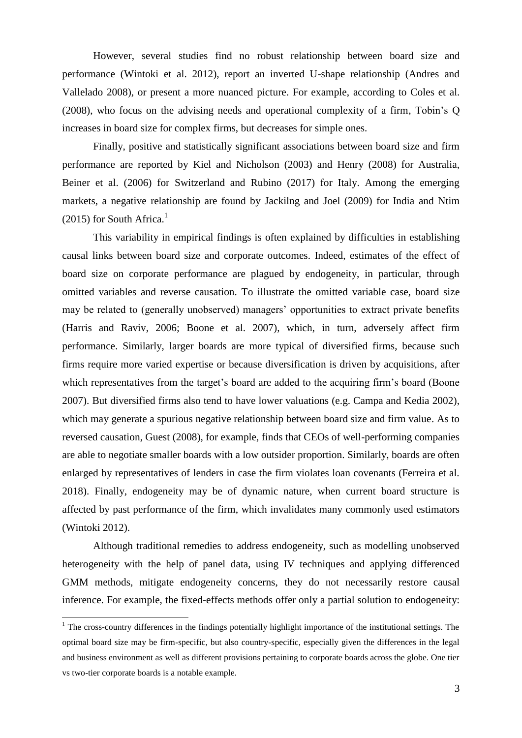However, several studies find no robust relationship between board size and performance (Wintoki et al. 2012), report an inverted U-shape relationship (Andres and Vallelado 2008), or present a more nuanced picture. For example, according to Coles et al. (2008), who focus on the advising needs and operational complexity of a firm, Tobin's Q increases in board size for complex firms, but decreases for simple ones.

Finally, positive and statistically significant associations between board size and firm performance are reported by Kiel and Nicholson (2003) and Henry (2008) for Australia, Beiner et al. (2006) for Switzerland and Rubino (2017) for Italy. Among the emerging markets, a negative relationship are found by Jackilng and Joel (2009) for India and Ntim  $(2015)$  for South Africa.<sup>1</sup>

This variability in empirical findings is often explained by difficulties in establishing causal links between board size and corporate outcomes. Indeed, estimates of the effect of board size on corporate performance are plagued by endogeneity, in particular, through omitted variables and reverse causation. To illustrate the omitted variable case, board size may be related to (generally unobserved) managers' opportunities to extract private benefits (Harris and Raviv, 2006; Boone et al. 2007), which, in turn, adversely affect firm performance. Similarly, larger boards are more typical of diversified firms, because such firms require more varied expertise or because diversification is driven by acquisitions, after which representatives from the target's board are added to the acquiring firm's board (Boone 2007). But diversified firms also tend to have lower valuations (e.g. Campa and Kedia 2002), which may generate a spurious negative relationship between board size and firm value. As to reversed causation, Guest (2008), for example, finds that CEOs of well-performing companies are able to negotiate smaller boards with a low outsider proportion. Similarly, boards are often enlarged by representatives of lenders in case the firm violates loan covenants (Ferreira et al. 2018). Finally, endogeneity may be of dynamic nature, when current board structure is affected by past performance of the firm, which invalidates many commonly used estimators (Wintoki 2012).

Although traditional remedies to address endogeneity, such as modelling unobserved heterogeneity with the help of panel data, using IV techniques and applying differenced GMM methods, mitigate endogeneity concerns, they do not necessarily restore causal inference. For example, the fixed-effects methods offer only a partial solution to endogeneity:

 $\overline{a}$ 

<sup>&</sup>lt;sup>1</sup> The cross-country differences in the findings potentially highlight importance of the institutional settings. The optimal board size may be firm-specific, but also country-specific, especially given the differences in the legal and business environment as well as different provisions pertaining to corporate boards across the globe. One tier vs two-tier corporate boards is a notable example.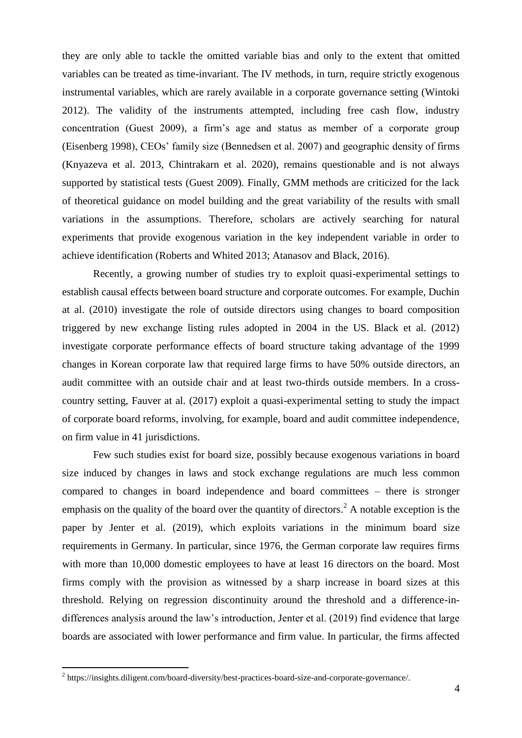they are only able to tackle the omitted variable bias and only to the extent that omitted variables can be treated as time-invariant. The IV methods, in turn, require strictly exogenous instrumental variables, which are rarely available in a corporate governance setting (Wintoki 2012). The validity of the instruments attempted, including free cash flow, industry concentration (Guest 2009), a firm's age and status as member of a corporate group (Eisenberg 1998), CEOs' family size (Bennedsen et al. 2007) and geographic density of firms (Knyazeva et al. 2013, Chintrakarn et al. 2020), remains questionable and is not always supported by statistical tests (Guest 2009). Finally, GMM methods are criticized for the lack of theoretical guidance on model building and the great variability of the results with small variations in the assumptions. Therefore, scholars are actively searching for natural experiments that provide exogenous variation in the key independent variable in order to achieve identification (Roberts and Whited 2013; Atanasov and Black, 2016).

Recently, a growing number of studies try to exploit quasi-experimental settings to establish causal effects between board structure and corporate outcomes. For example, Duchin at al. (2010) investigate the role of outside directors using changes to board composition triggered by new exchange listing rules adopted in 2004 in the US. Black et al. (2012) investigate corporate performance effects of board structure taking advantage of the 1999 changes in Korean corporate law that required large firms to have 50% outside directors, an audit committee with an outside chair and at least two-thirds outside members. In a crosscountry setting, Fauver at al. (2017) exploit a quasi-experimental setting to study the impact of corporate board reforms, involving, for example, board and audit committee independence, on firm value in 41 jurisdictions.

Few such studies exist for board size, possibly because exogenous variations in board size induced by changes in laws and stock exchange regulations are much less common compared to changes in board independence and board committees – there is stronger emphasis on the quality of the board over the quantity of directors.<sup>2</sup> A notable exception is the paper by Jenter et al. (2019), which exploits variations in the minimum board size requirements in Germany. In particular, since 1976, the German corporate law requires firms with more than 10,000 domestic employees to have at least 16 directors on the board. Most firms comply with the provision as witnessed by a sharp increase in board sizes at this threshold. Relying on regression discontinuity around the threshold and a difference-indifferences analysis around the law's introduction, Jenter et al. (2019) find evidence that large boards are associated with lower performance and firm value. In particular, the firms affected

 $\overline{a}$ 

 $2$  https://insights.diligent.com/board-diversity/best-practices-board-size-and-corporate-governance/.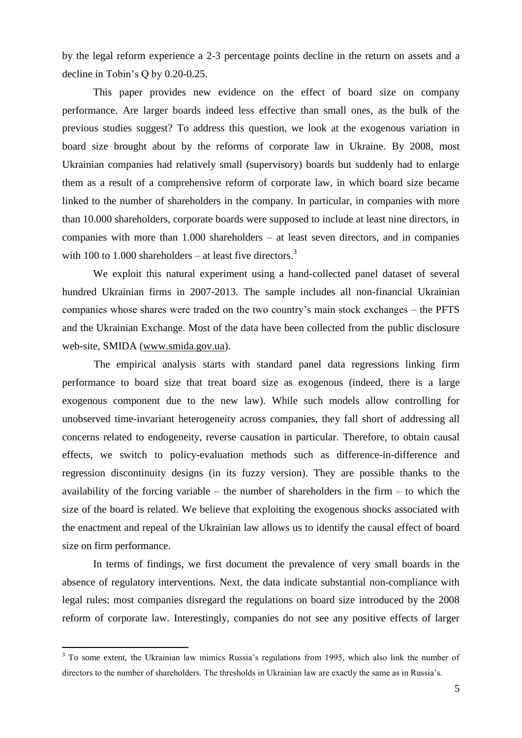by the legal reform experience a 2-3 percentage points decline in the return on assets and a decline in Tobin's Q by 0.20-0.25.

This paper provides new evidence on the effect of board size on company performance. Are larger boards indeed less effective than small ones, as the bulk of the previous studies suggest? To address this question, we look at the exogenous variation in board size brought about by the reforms of corporate law in Ukraine. By 2008, most Ukrainian companies had relatively small (supervisory) boards but suddenly had to enlarge them as a result of a comprehensive reform of corporate law, in which board size became linked to the number of shareholders in the company. In particular, in companies with more than 10.000 shareholders, corporate boards were supposed to include at least nine directors, in companies with more than 1.000 shareholders – at least seven directors, and in companies with 100 to 1.000 shareholders – at least five directors.<sup>3</sup>

We exploit this natural experiment using a hand-collected panel dataset of several hundred Ukrainian firms in 2007-2013. The sample includes all non-financial Ukrainian companies whose shares were traded on the two country's main stock exchanges – the PFTS and the Ukrainian Exchange. Most of the data have been collected from the public disclosure web-site, SMIDA [\(www.smida.gov.ua\)](http://www.smida.gov.ua/).

The empirical analysis starts with standard panel data regressions linking firm performance to board size that treat board size as exogenous (indeed, there is a large exogenous component due to the new law). While such models allow controlling for unobserved time-invariant heterogeneity across companies, they fall short of addressing all concerns related to endogeneity, reverse causation in particular. Therefore, to obtain causal effects, we switch to policy-evaluation methods such as difference-in-difference and regression discontinuity designs (in its fuzzy version). They are possible thanks to the availability of the forcing variable – the number of shareholders in the firm – to which the size of the board is related. We believe that exploiting the exogenous shocks associated with the enactment and repeal of the Ukrainian law allows us to identify the causal effect of board size on firm performance.

In terms of findings, we first document the prevalence of very small boards in the absence of regulatory interventions. Next, the data indicate substantial non-compliance with legal rules: most companies disregard the regulations on board size introduced by the 2008 reform of corporate law. Interestingly, companies do not see any positive effects of larger

 $\overline{a}$ 

 $3$  To some extent, the Ukrainian law mimics Russia's regulations from 1995, which also link the number of directors to the number of shareholders. The thresholds in Ukrainian law are exactly the same as in Russia's.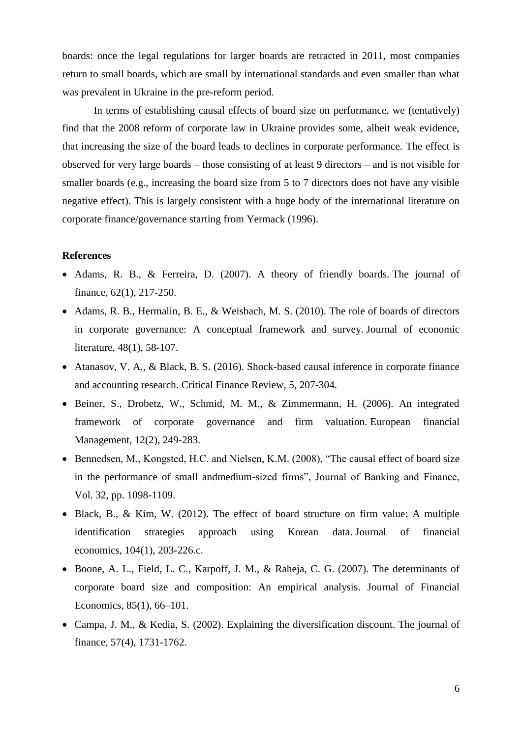boards: once the legal regulations for larger boards are retracted in 2011, most companies return to small boards, which are small by international standards and even smaller than what was prevalent in Ukraine in the pre-reform period.

In terms of establishing causal effects of board size on performance, we (tentatively) find that the 2008 reform of corporate law in Ukraine provides some, albeit weak evidence, that increasing the size of the board leads to declines in corporate performance. The effect is observed for very large boards – those consisting of at least 9 directors – and is not visible for smaller boards (e.g., increasing the board size from 5 to 7 directors does not have any visible negative effect). This is largely consistent with a huge body of the international literature on corporate finance/governance starting from Yermack (1996).

## **References**

- Adams, R. B., & Ferreira, D. (2007). A theory of friendly boards. The journal of finance, 62(1), 217-250.
- Adams, R. B., Hermalin, B. E., & Weisbach, M. S. (2010). The role of boards of directors in corporate governance: A conceptual framework and survey. Journal of economic literature, 48(1), 58-107.
- Atanasov, V. A., & Black, B. S. (2016). Shock-based causal inference in corporate finance and accounting research. Critical Finance Review, 5, 207-304.
- Beiner, S., Drobetz, W., Schmid, M. M., & Zimmermann, H. (2006). An integrated framework of corporate governance and firm valuation. European financial Management, 12(2), 249-283.
- Bennedsen, M., Kongsted, H.C. and Nielsen, K.M. (2008), "The causal effect of board size in the performance of small andmedium-sized firms", Journal of Banking and Finance, Vol. 32, pp. 1098-1109.
- Black, B., & Kim, W. (2012). The effect of board structure on firm value: A multiple identification strategies approach using Korean data. Journal of financial economics, 104(1), 203-226.c.
- Boone, A. L., Field, L. C., Karpoff, J. M., & Raheja, C. G. (2007). The determinants of corporate board size and composition: An empirical analysis. Journal of Financial Economics, 85(1), 66–101.
- Campa, J. M., & Kedia, S. (2002). Explaining the diversification discount. The journal of finance, 57(4), 1731-1762.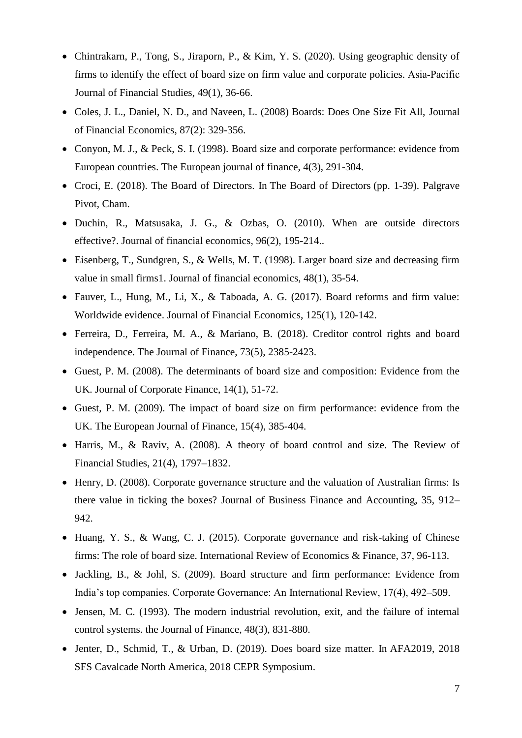- Chintrakarn, P., Tong, S., Jiraporn, P., & Kim, Y. S. (2020). Using geographic density of firms to identify the effect of board size on firm value and corporate policies. Asia‐Pacific Journal of Financial Studies, 49(1), 36-66.
- Coles, J. L., Daniel, N. D., and Naveen, L. (2008) Boards: Does One Size Fit All, Journal of Financial Economics, 87(2): 329-356.
- Conyon, M. J., & Peck, S. I. (1998). Board size and corporate performance: evidence from European countries. The European journal of finance, 4(3), 291-304.
- Croci, E. (2018). The Board of Directors. In The Board of Directors (pp. 1-39). Palgrave Pivot, Cham.
- Duchin, R., Matsusaka, J. G., & Ozbas, O. (2010). When are outside directors effective?. Journal of financial economics, 96(2), 195-214..
- Eisenberg, T., Sundgren, S., & Wells, M. T. (1998). Larger board size and decreasing firm value in small firms1. Journal of financial economics, 48(1), 35-54.
- Fauver, L., Hung, M., Li, X., & Taboada, A. G. (2017). Board reforms and firm value: Worldwide evidence. Journal of Financial Economics, 125(1), 120-142.
- Ferreira, D., Ferreira, M. A., & Mariano, B. (2018). Creditor control rights and board independence. The Journal of Finance, 73(5), 2385-2423.
- Guest, P. M. (2008). The determinants of board size and composition: Evidence from the UK. Journal of Corporate Finance, 14(1), 51-72.
- Guest, P. M. (2009). The impact of board size on firm performance: evidence from the UK. The European Journal of Finance, 15(4), 385-404.
- Harris, M., & Raviv, A. (2008). A theory of board control and size. The Review of Financial Studies, 21(4), 1797–1832.
- Henry, D. (2008). Corporate governance structure and the valuation of Australian firms: Is there value in ticking the boxes? Journal of Business Finance and Accounting, 35, 912– 942.
- Huang, Y. S., & Wang, C. J. (2015). Corporate governance and risk-taking of Chinese firms: The role of board size. International Review of Economics & Finance, 37, 96-113.
- Jackling, B., & Johl, S. (2009). Board structure and firm performance: Evidence from India's top companies. Corporate Governance: An International Review, 17(4), 492–509.
- Jensen, M. C. (1993). The modern industrial revolution, exit, and the failure of internal control systems. the Journal of Finance, 48(3), 831-880.
- Jenter, D., Schmid, T., & Urban, D. (2019). Does board size matter. In AFA2019, 2018 SFS Cavalcade North America, 2018 CEPR Symposium.